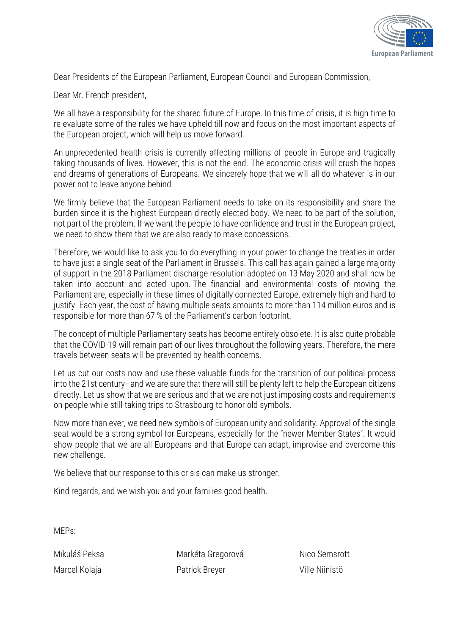

Dear Presidents of the European Parliament, European Council and European Commission,

Dear Mr. French president,

We all have a responsibility for the shared future of Europe. In this time of crisis, it is high time to re-evaluate some of the rules we have upheld till now and focus on the most important aspects of the European project, which will help us move forward.

An unprecedented health crisis is currently affecting millions of people in Europe and tragically taking thousands of lives. However, this is not the end. The economic crisis will crush the hopes and dreams of generations of Europeans. We sincerely hope that we will all do whatever is in our power not to leave anyone behind.

We firmly believe that the European Parliament needs to take on its responsibility and share the burden since it is the highest European directly elected body. We need to be part of the solution, not part of the problem. If we want the people to have confidence and trust in the European project, we need to show them that we are also ready to make concessions.

Therefore, we would like to ask you to do everything in your power to change the treaties in order to have just a single seat of the Parliament in Brussels. This call has again gained a large majority of support in the 2018 Parliament discharge resolution adopted on 13 May 2020 and shall now be taken into account and acted upon. The financial and environmental costs of moving the Parliament are, especially in these times of digitally connected Europe, extremely high and hard to justify. Each year, the cost of having multiple seats amounts to more than 114 million euros and is responsible for more than 67 % of the Parliament's carbon footprint.

The concept of multiple Parliamentary seats has become entirely obsolete. It is also quite probable that the COVID-19 will remain part of our lives throughout the following years. Therefore, the mere travels between seats will be prevented by health concerns.

Let us cut our costs now and use these valuable funds for the transition of our political process into the 21st century - and we are sure that there will still be plenty left to help the European citizens directly. Let us show that we are serious and that we are not just imposing costs and requirements on people while still taking trips to Strasbourg to honor old symbols.

Now more than ever, we need new symbols of European unity and solidarity. Approval of the single seat would be a strong symbol for Europeans, especially for the "newer Member States". It would show people that we are all Europeans and that Europe can adapt, improvise and overcome this new challenge.

We believe that our response to this crisis can make us stronger.

Kind regards, and we wish you and your families good health.

MEPs:

Mikuláš Peksa Marcel Kolaja

Markéta Gregorová Patrick Breyer

Nico Semsrott Ville Niinistö